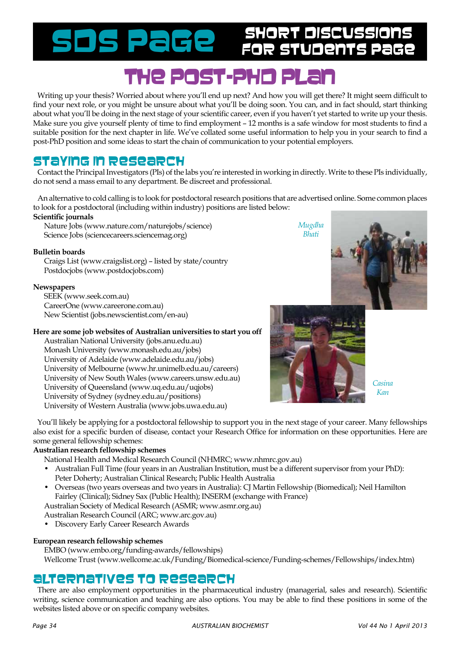Short Discussions SDS Page for Students Page

# The post-PhD PLAN

Writing up your thesis? Worried about where you'll end up next? And how you will get there? It might seem difficult to find your next role, or you might be unsure about what you'll be doing soon. You can, and in fact should, start thinking about what you'll be doing in the next stage of your scientific career, even if you haven't yet started to write up your thesis. Make sure you give yourself plenty of time to find employment – 12 months is a safe window for most students to find a suitable position for the next chapter in life. We've collated some useful information to help you in your search to find a post-PhD position and some ideas to start the chain of communication to your potential employers.

## Staying in research

Contact the Principal Investigators (PIs) of the labs you're interested in working in directly. Write to these PIs individually, do not send a mass email to any department. Be discreet and professional.

An alternative to cold calling is to look for postdoctoral research positions that are advertised online. Some common places to look for a postdoctoral (including within industry) positions are listed below:

#### **Scientific journals**

Nature Jobs (www.nature.com/naturejobs/science) Science Jobs (sciencecareers.sciencemag.org)

#### **Bulletin boards**

Craigs List (www.craigslist.org) – listed by state/country Postdocjobs (www.postdocjobs.com)

#### **Newspapers**

SEEK (www.seek.com.au) CareerOne (www.careerone.com.au) New Scientist (jobs.newscientist.com/en-au)

#### **Here are some job websites of Australian universities to start you off**

Australian National University (jobs.anu.edu.au) Monash University (www.monash.edu.au/jobs) University of Adelaide (www.adelaide.edu.au/jobs) University of Melbourne (www.hr.unimelb.edu.au/careers) University of New South Wales (www.careers.unsw.edu.au) University of Queensland (www.uq.edu.au/uqjobs) University of Sydney (sydney.edu.au/positions) University of Western Australia (www.jobs.uwa.edu.au)



*Mugdha Bhati*

> *Casina Kan*

You'll likely be applying for a postdoctoral fellowship to support you in the next stage of your career. Many fellowships also exist for a specific burden of disease, contact your Research Office for information on these opportunities. Here are some general fellowship schemes:

#### **Australian research fellowship schemes**

National Health and Medical Research Council (NHMRC; www.nhmrc.gov.au)

- Australian Full Time (four years in an Australian Institution, must be a different supervisor from your PhD): Peter Doherty; Australian Clinical Research; Public Health Australia
- Overseas (two years overseas and two years in Australia): CJ Martin Fellowship (Biomedical); Neil Hamilton Fairley (Clinical); Sidney Sax (Public Health); INSERM (exchange with France)

Australian Society of Medical Research (ASMR; www.asmr.org.au)

Australian Research Council (ARC; www.arc.gov.au)

• Discovery Early Career Research Awards

#### **European research fellowship schemes**

EMBO (www.embo.org/funding-awards/fellowships)

Wellcome Trust (www.wellcome.ac.uk/Funding/Biomedical-science/Funding-schemes/Fellowships/index.htm)

## Alternatives to research

There are also employment opportunities in the pharmaceutical industry (managerial, sales and research). Scientific writing, science communication and teaching are also options. You may be able to find these positions in some of the websites listed above or on specific company websites.